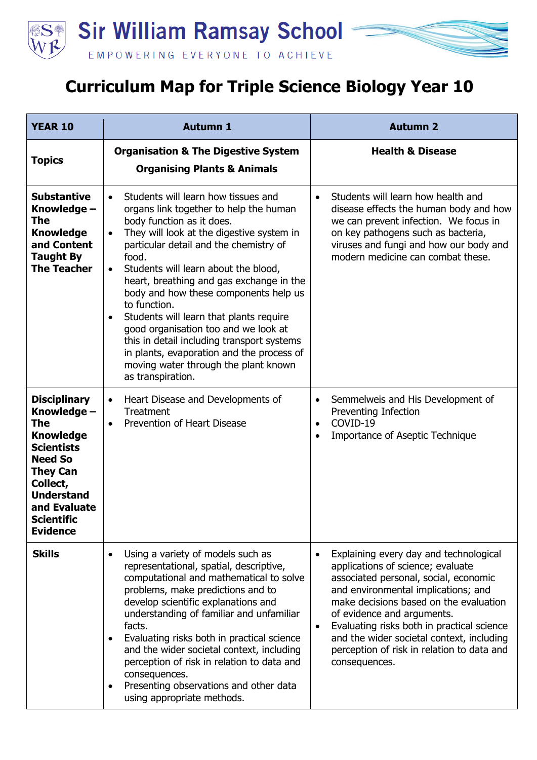

## **Curriculum Map for Triple Science Biology Year 10**

| <b>YEAR 10</b>                                                                                                                                                                                                          | <b>Autumn 1</b>                                                                                                                                                                                                                                                                                                                                                                                                                                                                                                                                                                                                                                        | <b>Autumn 2</b>                                                                                                                                                                                                                                                                                                                                                                                                         |
|-------------------------------------------------------------------------------------------------------------------------------------------------------------------------------------------------------------------------|--------------------------------------------------------------------------------------------------------------------------------------------------------------------------------------------------------------------------------------------------------------------------------------------------------------------------------------------------------------------------------------------------------------------------------------------------------------------------------------------------------------------------------------------------------------------------------------------------------------------------------------------------------|-------------------------------------------------------------------------------------------------------------------------------------------------------------------------------------------------------------------------------------------------------------------------------------------------------------------------------------------------------------------------------------------------------------------------|
| <b>Topics</b>                                                                                                                                                                                                           | <b>Organisation &amp; The Digestive System</b><br><b>Organising Plants &amp; Animals</b>                                                                                                                                                                                                                                                                                                                                                                                                                                                                                                                                                               | <b>Health &amp; Disease</b>                                                                                                                                                                                                                                                                                                                                                                                             |
| <b>Substantive</b><br>Knowledge -<br>The<br><b>Knowledge</b><br>and Content<br><b>Taught By</b><br><b>The Teacher</b>                                                                                                   | Students will learn how tissues and<br>$\bullet$<br>organs link together to help the human<br>body function as it does.<br>They will look at the digestive system in<br>$\bullet$<br>particular detail and the chemistry of<br>food.<br>Students will learn about the blood,<br>$\bullet$<br>heart, breathing and gas exchange in the<br>body and how these components help us<br>to function.<br>Students will learn that plants require<br>$\bullet$<br>good organisation too and we look at<br>this in detail including transport systems<br>in plants, evaporation and the process of<br>moving water through the plant known<br>as transpiration. | Students will learn how health and<br>$\bullet$<br>disease effects the human body and how<br>we can prevent infection. We focus in<br>on key pathogens such as bacteria,<br>viruses and fungi and how our body and<br>modern medicine can combat these.                                                                                                                                                                 |
| <b>Disciplinary</b><br>Knowledge -<br><b>The</b><br><b>Knowledge</b><br><b>Scientists</b><br><b>Need So</b><br><b>They Can</b><br>Collect,<br><b>Understand</b><br>and Evaluate<br><b>Scientific</b><br><b>Evidence</b> | Heart Disease and Developments of<br>$\bullet$<br>Treatment<br>Prevention of Heart Disease<br>$\bullet$                                                                                                                                                                                                                                                                                                                                                                                                                                                                                                                                                | Semmelweis and His Development of<br>$\bullet$<br>Preventing Infection<br>COVID-19<br>$\bullet$<br>Importance of Aseptic Technique<br>$\bullet$                                                                                                                                                                                                                                                                         |
| <b>Skills</b>                                                                                                                                                                                                           | Using a variety of models such as<br>$\bullet$<br>representational, spatial, descriptive,<br>computational and mathematical to solve<br>problems, make predictions and to<br>develop scientific explanations and<br>understanding of familiar and unfamiliar<br>facts.<br>Evaluating risks both in practical science<br>and the wider societal context, including<br>perception of risk in relation to data and<br>consequences.<br>Presenting observations and other data<br>$\bullet$<br>using appropriate methods.                                                                                                                                  | Explaining every day and technological<br>$\bullet$<br>applications of science; evaluate<br>associated personal, social, economic<br>and environmental implications; and<br>make decisions based on the evaluation<br>of evidence and arguments.<br>Evaluating risks both in practical science<br>$\bullet$<br>and the wider societal context, including<br>perception of risk in relation to data and<br>consequences. |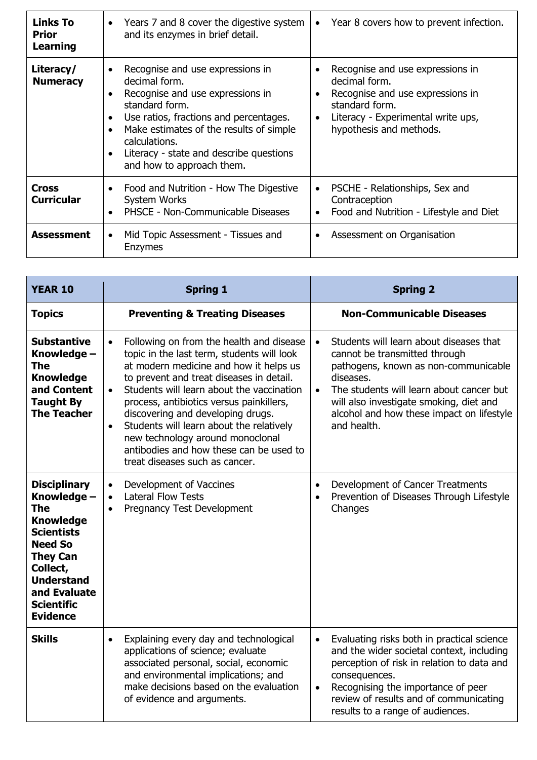| <b>Links To</b><br><b>Prior</b><br><b>Learning</b> | • Years 7 and 8 cover the digestive system<br>and its enzymes in brief detail.                                                                                                                                                                                                                     | Year 8 covers how to prevent infection.<br>$\bullet$                                                                                                                                  |
|----------------------------------------------------|----------------------------------------------------------------------------------------------------------------------------------------------------------------------------------------------------------------------------------------------------------------------------------------------------|---------------------------------------------------------------------------------------------------------------------------------------------------------------------------------------|
| Literacy/<br><b>Numeracy</b>                       | Recognise and use expressions in<br>decimal form.<br>Recognise and use expressions in<br>standard form.<br>Use ratios, fractions and percentages.<br>$\bullet$<br>Make estimates of the results of simple<br>calculations.<br>Literacy - state and describe questions<br>and how to approach them. | Recognise and use expressions in<br>decimal form.<br>Recognise and use expressions in<br>standard form.<br>Literacy - Experimental write ups,<br>$\bullet$<br>hypothesis and methods. |
| <b>Cross</b><br><b>Curricular</b>                  | Food and Nutrition - How The Digestive<br>$\bullet$<br>System Works<br>PHSCE - Non-Communicable Diseases                                                                                                                                                                                           | PSCHE - Relationships, Sex and<br>Contraception<br>Food and Nutrition - Lifestyle and Diet<br>٠                                                                                       |
| <b>Assessment</b>                                  | Mid Topic Assessment - Tissues and<br>٠<br><b>Enzymes</b>                                                                                                                                                                                                                                          | Assessment on Organisation<br>٠                                                                                                                                                       |

| <b>YEAR 10</b>                                                                                                                                                                                                          | <b>Spring 1</b>                                                                                                                                                                                                                                                                                                                                                                                                                                                                                                | <b>Spring 2</b>                                                                                                                                                                                                                                                                                            |
|-------------------------------------------------------------------------------------------------------------------------------------------------------------------------------------------------------------------------|----------------------------------------------------------------------------------------------------------------------------------------------------------------------------------------------------------------------------------------------------------------------------------------------------------------------------------------------------------------------------------------------------------------------------------------------------------------------------------------------------------------|------------------------------------------------------------------------------------------------------------------------------------------------------------------------------------------------------------------------------------------------------------------------------------------------------------|
| <b>Topics</b>                                                                                                                                                                                                           | <b>Preventing &amp; Treating Diseases</b>                                                                                                                                                                                                                                                                                                                                                                                                                                                                      | <b>Non-Communicable Diseases</b>                                                                                                                                                                                                                                                                           |
| <b>Substantive</b><br>Knowledge -<br><b>The</b><br><b>Knowledge</b><br>and Content<br><b>Taught By</b><br><b>The Teacher</b>                                                                                            | Following on from the health and disease<br>$\bullet$<br>topic in the last term, students will look<br>at modern medicine and how it helps us<br>to prevent and treat diseases in detail.<br>Students will learn about the vaccination<br>$\bullet$<br>process, antibiotics versus painkillers,<br>discovering and developing drugs.<br>Students will learn about the relatively<br>$\bullet$<br>new technology around monoclonal<br>antibodies and how these can be used to<br>treat diseases such as cancer. | Students will learn about diseases that<br>$\bullet$<br>cannot be transmitted through<br>pathogens, known as non-communicable<br>diseases.<br>The students will learn about cancer but<br>$\bullet$<br>will also investigate smoking, diet and<br>alcohol and how these impact on lifestyle<br>and health. |
| <b>Disciplinary</b><br>Knowledge -<br><b>The</b><br><b>Knowledge</b><br><b>Scientists</b><br><b>Need So</b><br><b>They Can</b><br>Collect,<br><b>Understand</b><br>and Evaluate<br><b>Scientific</b><br><b>Evidence</b> | Development of Vaccines<br>$\bullet$<br><b>Lateral Flow Tests</b><br>$\bullet$<br>Pregnancy Test Development<br>$\bullet$                                                                                                                                                                                                                                                                                                                                                                                      | Development of Cancer Treatments<br>$\bullet$<br>Prevention of Diseases Through Lifestyle<br>$\bullet$<br>Changes                                                                                                                                                                                          |
| <b>Skills</b>                                                                                                                                                                                                           | Explaining every day and technological<br>$\bullet$<br>applications of science; evaluate<br>associated personal, social, economic<br>and environmental implications; and<br>make decisions based on the evaluation<br>of evidence and arguments.                                                                                                                                                                                                                                                               | Evaluating risks both in practical science<br>$\bullet$<br>and the wider societal context, including<br>perception of risk in relation to data and<br>consequences.<br>Recognising the importance of peer<br>$\bullet$<br>review of results and of communicating<br>results to a range of audiences.       |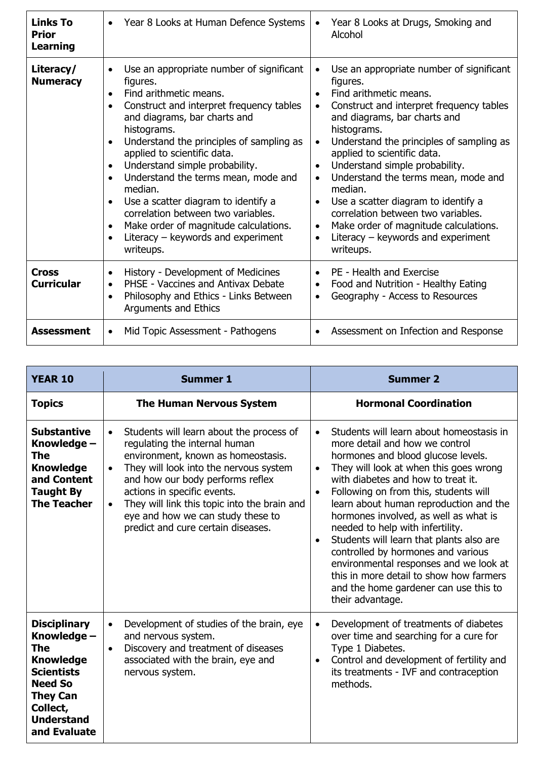| <b>Links To</b><br><b>Prior</b><br><b>Learning</b> | Year 8 Looks at Human Defence Systems<br>$\bullet$                                                                                                                                                                                                                                                                                                                                                                                                                                                                                                                                                | Year 8 Looks at Drugs, Smoking and<br>$\bullet$<br>Alcohol                                                                                                                                                                                                                                                                                                                                                                                                                                                                                                                                                                               |
|----------------------------------------------------|---------------------------------------------------------------------------------------------------------------------------------------------------------------------------------------------------------------------------------------------------------------------------------------------------------------------------------------------------------------------------------------------------------------------------------------------------------------------------------------------------------------------------------------------------------------------------------------------------|------------------------------------------------------------------------------------------------------------------------------------------------------------------------------------------------------------------------------------------------------------------------------------------------------------------------------------------------------------------------------------------------------------------------------------------------------------------------------------------------------------------------------------------------------------------------------------------------------------------------------------------|
| Literacy/<br><b>Numeracy</b>                       | Use an appropriate number of significant<br>$\bullet$<br>figures.<br>Find arithmetic means.<br>$\bullet$<br>Construct and interpret frequency tables<br>$\bullet$<br>and diagrams, bar charts and<br>histograms.<br>Understand the principles of sampling as<br>$\bullet$<br>applied to scientific data.<br>Understand simple probability.<br>Understand the terms mean, mode and<br>$\bullet$<br>median.<br>Use a scatter diagram to identify a<br>correlation between two variables.<br>Make order of magnitude calculations.<br>$\bullet$<br>Literacy $-$ keywords and experiment<br>writeups. | Use an appropriate number of significant<br>$\bullet$<br>figures.<br>Find arithmetic means.<br>$\bullet$<br>Construct and interpret frequency tables<br>$\bullet$<br>and diagrams, bar charts and<br>histograms.<br>Understand the principles of sampling as<br>$\bullet$<br>applied to scientific data.<br>Understand simple probability.<br>$\bullet$<br>Understand the terms mean, mode and<br>$\bullet$<br>median.<br>Use a scatter diagram to identify a<br>$\bullet$<br>correlation between two variables.<br>Make order of magnitude calculations.<br>$\bullet$<br>Literacy $-$ keywords and experiment<br>$\bullet$<br>writeups. |
| <b>Cross</b><br><b>Curricular</b>                  | History - Development of Medicines<br>$\bullet$<br>PHSE - Vaccines and Antivax Debate<br>$\bullet$<br>Philosophy and Ethics - Links Between<br>$\bullet$<br>Arguments and Ethics                                                                                                                                                                                                                                                                                                                                                                                                                  | PE - Health and Exercise<br>$\bullet$<br>Food and Nutrition - Healthy Eating<br>$\bullet$<br>Geography - Access to Resources<br>$\bullet$                                                                                                                                                                                                                                                                                                                                                                                                                                                                                                |
| <b>Assessment</b>                                  | Mid Topic Assessment - Pathogens<br>$\bullet$                                                                                                                                                                                                                                                                                                                                                                                                                                                                                                                                                     | Assessment on Infection and Response<br>$\bullet$                                                                                                                                                                                                                                                                                                                                                                                                                                                                                                                                                                                        |

| <b>YEAR 10</b>                                                                                                                                                                  | <b>Summer 1</b>                                                                                                                                                                                                                                                                                                                                                                                | <b>Summer 2</b>                                                                                                                                                                                                                                                                                                                                                                                                                                                                                                                                                                                                                                          |
|---------------------------------------------------------------------------------------------------------------------------------------------------------------------------------|------------------------------------------------------------------------------------------------------------------------------------------------------------------------------------------------------------------------------------------------------------------------------------------------------------------------------------------------------------------------------------------------|----------------------------------------------------------------------------------------------------------------------------------------------------------------------------------------------------------------------------------------------------------------------------------------------------------------------------------------------------------------------------------------------------------------------------------------------------------------------------------------------------------------------------------------------------------------------------------------------------------------------------------------------------------|
| <b>Topics</b>                                                                                                                                                                   | <b>The Human Nervous System</b>                                                                                                                                                                                                                                                                                                                                                                | <b>Hormonal Coordination</b>                                                                                                                                                                                                                                                                                                                                                                                                                                                                                                                                                                                                                             |
| <b>Substantive</b><br>Knowledge -<br>The<br><b>Knowledge</b><br>and Content<br><b>Taught By</b><br><b>The Teacher</b>                                                           | Students will learn about the process of<br>$\bullet$<br>regulating the internal human<br>environment, known as homeostasis.<br>They will look into the nervous system<br>$\bullet$<br>and how our body performs reflex<br>actions in specific events.<br>They will link this topic into the brain and<br>$\bullet$<br>eye and how we can study these to<br>predict and cure certain diseases. | Students will learn about homeostasis in<br>$\bullet$<br>more detail and how we control<br>hormones and blood glucose levels.<br>They will look at when this goes wrong<br>$\bullet$<br>with diabetes and how to treat it.<br>Following on from this, students will<br>$\bullet$<br>learn about human reproduction and the<br>hormones involved, as well as what is<br>needed to help with infertility.<br>Students will learn that plants also are<br>$\bullet$<br>controlled by hormones and various<br>environmental responses and we look at<br>this in more detail to show how farmers<br>and the home gardener can use this to<br>their advantage. |
| <b>Disciplinary</b><br>Knowledge -<br><b>The</b><br><b>Knowledge</b><br><b>Scientists</b><br><b>Need So</b><br><b>They Can</b><br>Collect,<br><b>Understand</b><br>and Evaluate | Development of studies of the brain, eye<br>$\bullet$<br>and nervous system.<br>Discovery and treatment of diseases<br>$\bullet$<br>associated with the brain, eye and<br>nervous system.                                                                                                                                                                                                      | Development of treatments of diabetes<br>$\bullet$<br>over time and searching for a cure for<br>Type 1 Diabetes.<br>Control and development of fertility and<br>$\bullet$<br>its treatments - IVF and contraception<br>methods.                                                                                                                                                                                                                                                                                                                                                                                                                          |